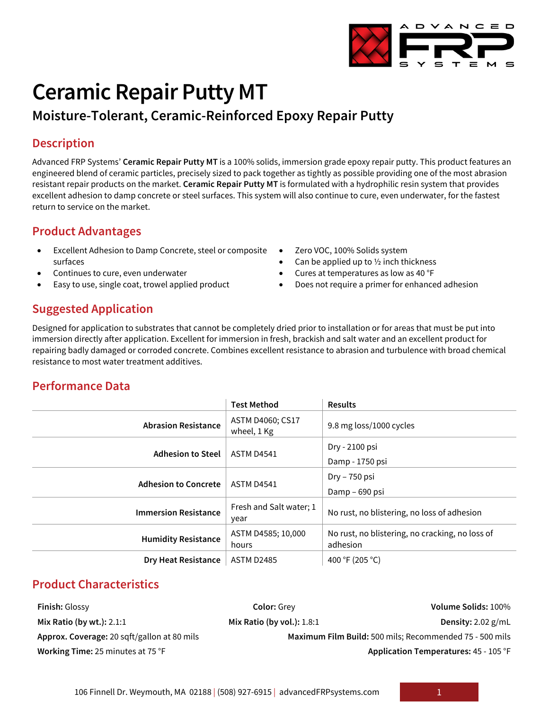

# **Ceramic Repair Putty MT**

# **Moisture-Tolerant, Ceramic-Reinforced Epoxy Repair Putty**

# **Description**

Advanced FRP Systems' **Ceramic Repair Putty MT** is a 100% solids, immersion grade epoxy repair putty. This product features an engineered blend of ceramic particles, precisely sized to pack together as tightly as possible providing one of the most abrasion resistant repair products on the market. **Ceramic Repair Putty MT** is formulated with a hydrophilic resin system that provides excellent adhesion to damp concrete or steel surfaces. This system will also continue to cure, even underwater, for the fastest return to service on the market.

# **Product Advantages**

- Excellent Adhesion to Damp Concrete, steel or composite surfaces
- Continues to cure, even underwater
- Easy to use, single coat, trowel applied product

#### Zero VOC, 100% Solids system

- Can be applied up to  $\frac{1}{2}$  inch thickness
- Cures at temperatures as low as 40 °F
- Does not require a primer for enhanced adhesion

# **Suggested Application**

Designed for application to substrates that cannot be completely dried prior to installation or for areas that must be put into immersion directly after application. Excellent for immersion in fresh, brackish and salt water and an excellent product for repairing badly damaged or corroded concrete. Combines excellent resistance to abrasion and turbulence with broad chemical resistance to most water treatment additives.

# **Performance Data**

|                             | <b>Test Method</b>              | <b>Results</b>                                              |
|-----------------------------|---------------------------------|-------------------------------------------------------------|
| <b>Abrasion Resistance</b>  | ASTM D4060; CS17<br>wheel, 1 Kg | 9.8 mg loss/1000 cycles                                     |
| <b>Adhesion to Steel</b>    | <b>ASTM D4541</b>               | Dry - 2100 psi<br>Damp - 1750 psi                           |
| <b>Adhesion to Concrete</b> | <b>ASTM D4541</b>               | Dry – 750 psi<br>Damp – 690 psi                             |
| <b>Immersion Resistance</b> | Fresh and Salt water; 1<br>year | No rust, no blistering, no loss of adhesion                 |
| <b>Humidity Resistance</b>  | ASTM D4585; 10,000<br>hours     | No rust, no blistering, no cracking, no loss of<br>adhesion |
| <b>Dry Heat Resistance</b>  | <b>ASTM D2485</b>               | 400 °F (205 °C)                                             |

## **Product Characteristics**

**Finish:** Glossy **Color:** Grey **Volume Solids:** 100% **Mix Ratio (by wt.):** 2.1:1 **Mix Ratio (by vol.):** 1.8:1 **Density:** 2.02 g/mL **Approx. Coverage:** 20 sqft/gallon at 80 mils **Maximum Film Build:** 500 mils; Recommended 75 - 500 mils **Working Time:** 25 minutes at 75 °F **Application Temperatures:** 45 - 105 °F

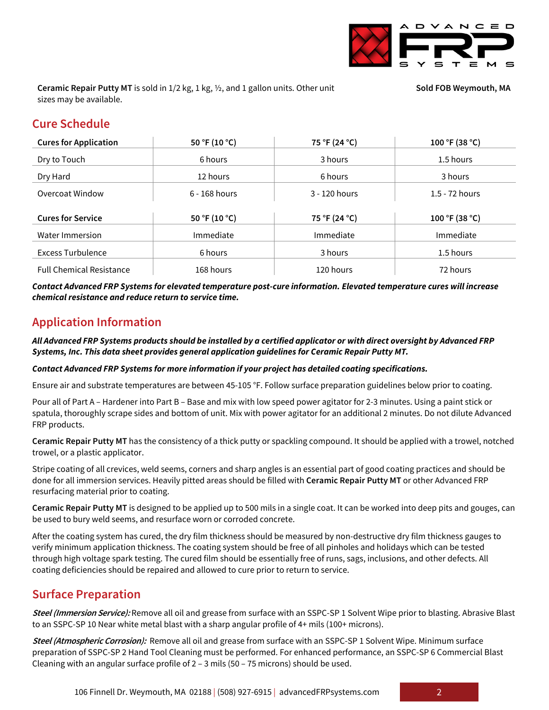

**Ceramic Repair Putty MT** is sold in 1/2 kg, 1 kg, ½, and 1 gallon units. Other unit sizes may be available.

**Sold FOB Weymouth, MA**

# **Cure Schedule**

| <b>Cures for Application</b>    | 50 °F (10 °C)   | 75 °F (24 °C) | 100 °F (38 °C)   |
|---------------------------------|-----------------|---------------|------------------|
| Dry to Touch                    | 6 hours         | 3 hours       | 1.5 hours        |
| Dry Hard                        | 12 hours        | 6 hours       | 3 hours          |
| Overcoat Window                 | $6 - 168$ hours | 3 - 120 hours | $1.5 - 72$ hours |
|                                 |                 |               |                  |
| <b>Cures for Service</b>        | 50 °F (10 °C)   | 75 °F (24 °C) | 100 °F (38 °C)   |
| Water Immersion                 | Immediate       | Immediate     | Immediate        |
| <b>Excess Turbulence</b>        | 6 hours         | 3 hours       | 1.5 hours        |
| <b>Full Chemical Resistance</b> | 168 hours       | 120 hours     | 72 hours         |

*Contact Advanced FRP Systems for elevated temperature post-cure information. Elevated temperature cures will increase chemical resistance and reduce return to service time.*

## **Application Information**

*All Advanced FRP Systems products should be installed by a certified applicator or with direct oversight by Advanced FRP Systems, Inc. This data sheet provides general application guidelines for Ceramic Repair Putty MT.*

#### *Contact Advanced FRP Systems for more information if your project has detailed coating specifications.*

Ensure air and substrate temperatures are between 45-105 °F. Follow surface preparation guidelines below prior to coating.

Pour all of Part A – Hardener into Part B – Base and mix with low speed power agitator for 2-3 minutes. Using a paint stick or spatula, thoroughly scrape sides and bottom of unit. Mix with power agitator for an additional 2 minutes. Do not dilute Advanced FRP products.

**Ceramic Repair Putty MT** has the consistency of a thick putty or spackling compound. It should be applied with a trowel, notched trowel, or a plastic applicator.

Stripe coating of all crevices, weld seems, corners and sharp angles is an essential part of good coating practices and should be done for all immersion services. Heavily pitted areas should be filled with **Ceramic Repair Putty MT** or other Advanced FRP resurfacing material prior to coating.

**Ceramic Repair Putty MT** is designed to be applied up to 500 mils in a single coat. It can be worked into deep pits and gouges, can be used to bury weld seems, and resurface worn or corroded concrete.

After the coating system has cured, the dry film thickness should be measured by non-destructive dry film thickness gauges to verify minimum application thickness. The coating system should be free of all pinholes and holidays which can be tested through high voltage spark testing. The cured film should be essentially free of runs, sags, inclusions, and other defects. All coating deficiencies should be repaired and allowed to cure prior to return to service.

## **Surface Preparation**

**Steel (Immersion Service):** Remove all oil and grease from surface with an SSPC-SP 1 Solvent Wipe prior to blasting. Abrasive Blast to an SSPC-SP 10 Near white metal blast with a sharp angular profile of 4+ mils (100+ microns).

**Steel (Atmospheric Corrosion):** Remove all oil and grease from surface with an SSPC-SP 1 Solvent Wipe. Minimum surface preparation of SSPC-SP 2 Hand Tool Cleaning must be performed. For enhanced performance, an SSPC-SP 6 Commercial Blast Cleaning with an angular surface profile of 2 – 3 mils (50 – 75 microns) should be used.